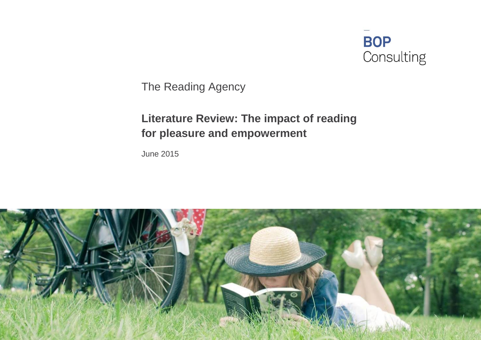

The Reading Agency

# **Literature Review: The impact of reading for pleasure and empowerment**

June 2015

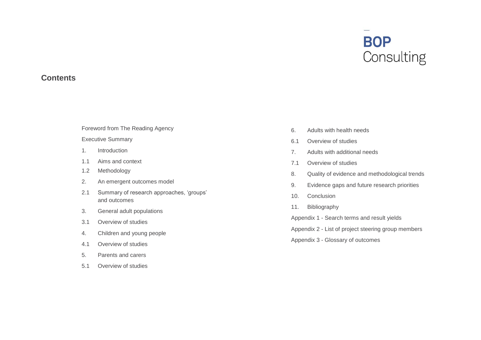# **BOP**<br>Consulting

#### **Contents**

#### [Foreword from The Reading Agency](#page-2-0)

#### [Executive Summary](#page-3-0)

- 1. [Introduction](#page-5-0)
- 1.1 [Aims and context](#page-5-1)
- 1.2 [Methodology](#page-6-0)
- 2. [An emergent outcomes model](#page-7-0)
- 2.1 [Summary of research approaches, 'groups'](#page-7-1)  [and outcomes](#page-7-1)
- 3. [General adult populations](#page-10-0)
- 3.1 [Overview of studies](#page-10-1)
- 4. [Children and young people](#page-13-0)
- 4.1 [Overview of studies](#page-13-1)
- 5. [Parents and carers](#page-20-0)
- 5.1 [Overview of studies](#page-20-1)
- 6. [Adults with health needs](#page-22-0)
- 6.1 [Overview of studies](#page-22-1)
- 7. [Adults with additional needs](#page-25-0)
- 7.1 [Overview of studies](#page-25-1)
- 8. [Quality of evidence and methodological trends](#page-27-0)
- 9. [Evidence gaps and future research priorities](#page-27-1)
- 10. [Conclusion](#page-30-0)
- 11. [Bibliography](#page-32-0)

Appendix 1 - [Search terms and result yields](#page-35-0)

Appendix 2 - [List of project steering group members](#page-37-0)

Appendix 3 - [Glossary of outcomes](#page-38-0)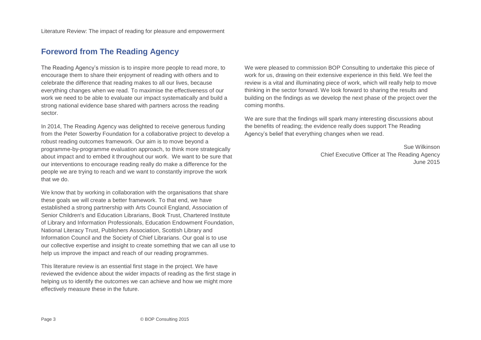# <span id="page-2-0"></span>**Foreword from The Reading Agency**

The Reading Agency's mission is to inspire more people to read more, to encourage them to share their enjoyment of reading with others and to celebrate the difference that reading makes to all our lives, because everything changes when we read. To maximise the effectiveness of our work we need to be able to evaluate our impact systematically and build a strong national evidence base shared with partners across the reading sector.

In 2014, The Reading Agency was delighted to receive generous funding from the Peter Sowerby Foundation for a collaborative project to develop a robust reading outcomes framework. Our aim is to move beyond a programme-by-programme evaluation approach, to think more strategically about impact and to embed it throughout our work. We want to be sure that our interventions to encourage reading really do make a difference for the people we are trying to reach and we want to constantly improve the work that we do.

We know that by working in collaboration with the organisations that share these goals we will create a better framework. To that end, we have established a strong partnership with Arts Council England, Association of Senior Children's and Education Librarians, Book Trust, Chartered Institute of Library and Information Professionals, Education Endowment Foundation, National Literacy Trust, Publishers Association, Scottish Library and Information Council and the Society of Chief Librarians. Our goal is to use our collective expertise and insight to create something that we can all use to help us improve the impact and reach of our reading programmes.

This literature review is an essential first stage in the project. We have reviewed the evidence about the wider impacts of reading as the first stage in helping us to identify the outcomes we can achieve and how we might more effectively measure these in the future.

We were pleased to commission BOP Consulting to undertake this piece of work for us, drawing on their extensive experience in this field. We feel the review is a vital and illuminating piece of work, which will really help to move thinking in the sector forward. We look forward to sharing the results and building on the findings as we develop the next phase of the project over the coming months.

We are sure that the findings will spark many interesting discussions about the benefits of reading; the evidence really does support The Reading Agency's belief that everything changes when we read.

> Sue Wilkinson Chief Executive Officer at The Reading Agency June 2015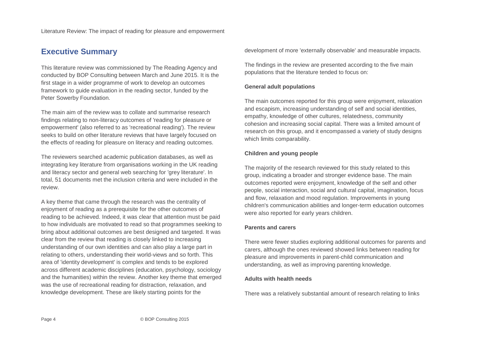# <span id="page-3-0"></span>**Executive Summary**

This literature review was commissioned by The Reading Agency and conducted by BOP Consulting between March and June 2015. It is the first stage in a wider programme of work to develop an outcomes framework to guide evaluation in the reading sector, funded by the Peter Sowerby Foundation.

The main aim of the review was to collate and summarise research findings relating to non-literacy outcomes of 'reading for pleasure or empowerment' (also referred to as 'recreational reading'). The review seeks to build on other literature reviews that have largely focused on the effects of reading for pleasure on literacy and reading outcomes.

The reviewers searched academic publication databases, as well as integrating key literature from organisations working in the UK reading and literacy sector and general web searching for 'grey literature'. In total, 51 documents met the inclusion criteria and were included in the review.

A key theme that came through the research was the centrality of enjoyment of reading as a prerequisite for the other outcomes of reading to be achieved. Indeed, it was clear that attention must be paid to how individuals are motivated to read so that programmes seeking to bring about additional outcomes are best designed and targeted. It was clear from the review that reading is closely linked to increasing understanding of our own identities and can also play a large part in relating to others, understanding their world-views and so forth. This area of 'identity development' is complex and tends to be explored across different academic disciplines (education, psychology, sociology and the humanities) within the review. Another key theme that emerged was the use of recreational reading for distraction, relaxation, and knowledge development. These are likely starting points for the

development of more 'externally observable' and measurable impacts.

The findings in the review are presented according to the five main populations that the literature tended to focus on:

#### **General adult populations**

The main outcomes reported for this group were enjoyment, relaxation and escapism, increasing understanding of self and social identities, empathy, knowledge of other cultures, relatedness, community cohesion and increasing social capital. There was a limited amount of research on this group, and it encompassed a variety of study designs which limits comparability.

#### **Children and young people**

The majority of the research reviewed for this study related to this group, indicating a broader and stronger evidence base. The main outcomes reported were enjoyment, knowledge of the self and other people, social interaction, social and cultural capital, imagination, focus and flow, relaxation and mood regulation. Improvements in young children's communication abilities and longer-term education outcomes were also reported for early years children.

#### **Parents and carers**

There were fewer studies exploring additional outcomes for parents and carers, although the ones reviewed showed links between reading for pleasure and improvements in parent-child communication and understanding, as well as improving parenting knowledge.

#### **Adults with health needs**

There was a relatively substantial amount of research relating to links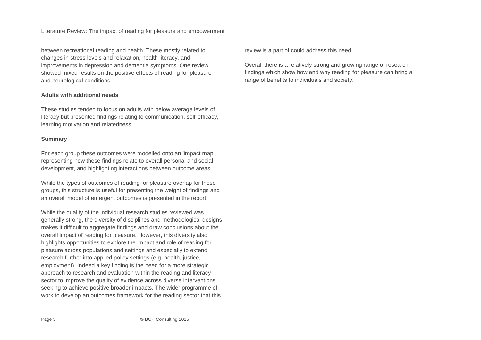between recreational reading and health. These mostly related to changes in stress levels and relaxation, health literacy, and improvements in depression and dementia symptoms. One review showed mixed results on the positive effects of reading for pleasure and neurological conditions.

#### **Adults with additional needs**

These studies tended to focus on adults with below average levels of literacy but presented findings relating to communication, self-efficacy, learning motivation and relatedness.

#### **Summary**

For each group these outcomes were modelled onto an 'impact map' representing how these findings relate to overall personal and social development, and highlighting interactions between outcome areas.

While the types of outcomes of reading for pleasure overlap for these groups, this structure is useful for presenting the weight of findings and an overall model of emergent outcomes is presented in the report.

While the quality of the individual research studies reviewed was generally strong, the diversity of disciplines and methodological designs makes it difficult to aggregate findings and draw conclusions about the overall impact of reading for pleasure. However, this diversity also highlights opportunities to explore the impact and role of reading for pleasure across populations and settings and especially to extend research further into applied policy settings (e.g. health, justice, employment). Indeed a key finding is the need for a more strategic approach to research and evaluation within the reading and literacy sector to improve the quality of evidence across diverse interventions seeking to achieve positive broader impacts. The wider programme of work to develop an outcomes framework for the reading sector that this

review is a part of could address this need.

Overall there is a relatively strong and growing range of research findings which show how and why reading for pleasure can bring a range of benefits to individuals and society.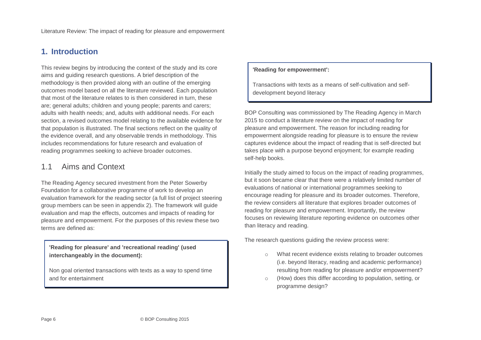# <span id="page-5-0"></span>**1. Introduction**

This review begins by introducing the context of the study and its core aims and guiding research questions. A brief description of the methodology is then provided along with an outline of the emerging outcomes model based on all the literature reviewed. Each population that most of the literature relates to is then considered in turn, these are; general adults; children and young people; parents and carers; adults with health needs; and, adults with additional needs. For each section, a revised outcomes model relating to the available evidence for that population is illustrated. The final sections reflect on the quality of the evidence overall, and any observable trends in methodology. This includes recommendations for future research and evaluation of reading programmes seeking to achieve broader outcomes.

## <span id="page-5-1"></span>1.1 Aims and Context

The Reading Agency secured investment from the Peter Sowerby Foundation for a collaborative programme of work to develop an evaluation framework for the reading sector (a full list of project steering group members can be seen in appendix 2). The framework will guide evaluation and map the effects, outcomes and impacts of reading for pleasure and empowerment. For the purposes of this review these two terms are defined as:

**'Reading for pleasure' and 'recreational reading' (used interchangeably in the document):**

Non goal oriented transactions with texts as a way to spend time and for entertainment

#### **'Reading for empowerment':**

Transactions with texts as a means of self-cultivation and selfdevelopment beyond literacy

BOP Consulting was commissioned by The Reading Agency in March 2015 to conduct a literature review on the impact of reading for pleasure and empowerment. The reason for including reading for empowerment alongside reading for pleasure is to ensure the review captures evidence about the impact of reading that is self-directed but takes place with a purpose beyond enjoyment; for example reading self-help books.

Initially the study aimed to focus on the impact of reading programmes, but it soon became clear that there were a relatively limited number of evaluations of national or international programmes seeking to encourage reading for pleasure and its broader outcomes. Therefore, the review considers all literature that explores broader outcomes of reading for pleasure and empowerment. Importantly, the review focuses on reviewing literature reporting evidence on outcomes other than literacy and reading.

The research questions guiding the review process were:

- o What recent evidence exists relating to broader outcomes (i.e. beyond literacy, reading and academic performance) resulting from reading for pleasure and/or empowerment?
- o (How) does this differ according to population, setting, or programme design?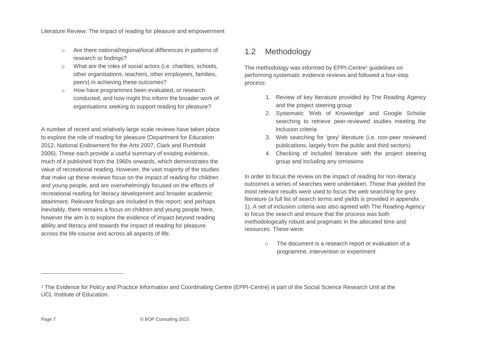- o Are there national/regional/local differences in patterns of research or findings?
- What are the roles of social actors (i.e. charities, schools, other organisations, teachers, other employees, families, peers) in achieving these outcomes?
- o How have programmes been evaluated, or research conducted, and how might this inform the broader work of organisations seeking to support reading for pleasure?

A number of recent and relatively large scale reviews have taken place to explore the role of reading for pleasure (Department for Education 2012, National Endowment for the Arts 2007, Clark and Rumbold 2006). These each provide a useful summary of existing evidence, much of it published from the 1960s onwards, which demonstrates the value of recreational reading. However, the vast majority of the studies that make up these reviews focus on the impact of reading for children and young people, and are overwhelmingly focused on the effects of recreational reading for literacy development and broader academic attainment. Relevant findings are included in this report, and perhaps inevitably, there remains a focus on children and young people here, however the aim is to explore the evidence of impact beyond reading ability and literacy and towards the impact of reading for pleasure across the life-course and across all aspects of life.

## <span id="page-6-0"></span>1.2 Methodology

The methodology was informed by EPPI-Centre<sup>1</sup> guidelines on performing systematic evidence reviews and followed a four-step process:

- 1. Review of key literature provided by The Reading Agency and the project steering group
- 2. Systematic 'Web of Knowledge' and Google Scholar searching to retrieve peer-reviewed studies meeting the inclusion criteria
- 3. Web searching for 'grey' literature (i.e. non-peer reviewed publications, largely from the public and third sectors)
- 4. Checking of included literature with the project steering group and including any omissions

In order to focus the review on the impact of reading for non-literacy outcomes a series of searches were undertaken. Those that yielded the most relevant results were used to focus the web searching for grey literature (a full list of search terms and yields is provided in appendix 1). A set of inclusion criteria was also agreed with The Reading Agency to focus the search and ensure that the process was both methodologically robust and pragmatic in the allocated time and resources. These were:

> o The document is a research report or evaluation of a programme, intervention or experiment

-

<sup>1</sup> The Evidence for Policy and Practice Information and Coordinating Centre (EPPI-Centre) is part of the Social Science Research Unit at the UCL Institute of Education.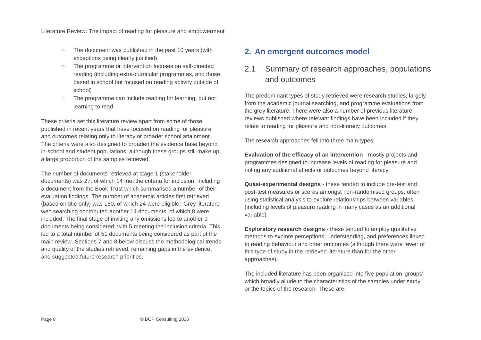- o The document was published in the past 10 years (with exceptions being clearly justified)
- The programme or intervention focuses on self-directed reading (including extra-curricular programmes, and those based in school but focused on reading activity outside of school)
- o The programme can include reading for learning, but not learning to read

These criteria set this literature review apart from some of those published in recent years that have focused on reading for pleasure and outcomes relating only to literacy or broader school attainment. The criteria were also designed to broaden the evidence base beyond in-school and student populations, although these groups still make up a large proportion of the samples retrieved.

The number of documents retrieved at stage 1 (stakeholder documents) was 27, of which 14 met the criteria for inclusion, including a document from the Book Trust which summarised a number of their evaluation findings. The number of academic articles first retrieved (based on title only) was 150, of which 24 were eligible. 'Grey literature' web searching contributed another 14 documents, of which 8 were included. The final stage of inviting any omissions led to another 9 documents being considered, with 5 meeting the inclusion criteria. This led to a total number of 51 documents being considered as part of the main review. Sections 7 and 8 below discuss the methodological trends and quality of the studies retrieved, remaining gaps in the evidence, and suggested future research priorities.

### <span id="page-7-0"></span>**2. An emergent outcomes model**

# <span id="page-7-1"></span>2.1 Summary of research approaches, populations and outcomes

The predominant types of study retrieved were research studies, largely from the academic journal searching, and programme evaluations from the grey literature. There were also a number of previous literature reviews published where relevant findings have been included if they relate to reading for pleasure and non-literacy outcomes.

The research approaches fell into three main types:

**Evaluation of the efficacy of an intervention** - mostly projects and programmes designed to increase levels of reading for pleasure and noting any additional effects or outcomes beyond literacy

**Quasi-experimental designs** - these tended to include pre-test and post-test measures or scores amongst non-randomised groups, often using statistical analysis to explore relationships between variables (including levels of pleasure reading in many cases as an additional variable)

**Exploratory research designs** - these tended to employ qualitative methods to explore perceptions, understanding, and preferences linked to reading behaviour and other outcomes (although there were fewer of this type of study in the retrieved literature than for the other approaches).

The included literature has been organised into five population 'groups' which broadly allude to the characteristics of the samples under study or the topics of the research. These are: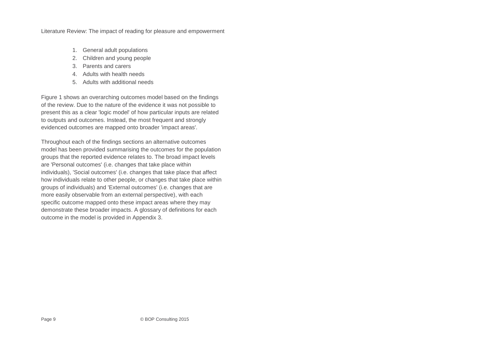- 1. General adult populations
- 2. Children and young people
- 3. Parents and carers
- 4. Adults with health needs
- 5. Adults with additional needs

Figure 1 shows an overarching outcomes model based on the findings of the review. Due to the nature of the evidence it was not possible to present this as a clear 'logic model' of how particular inputs are related to outputs and outcomes. Instead, the most frequent and strongly evidenced outcomes are mapped onto broader 'impact areas'.

Throughout each of the findings sections an alternative outcomes model has been provided summarising the outcomes for the population groups that the reported evidence relates to. The broad impact levels are 'Personal outcomes' (i.e. changes that take place within individuals), 'Social outcomes' (i.e. changes that take place that affect how individuals relate to other people, or changes that take place within groups of individuals) and 'External outcomes' (i.e. changes that are more easily observable from an external perspective), with each specific outcome mapped onto these impact areas where they may demonstrate these broader impacts. A glossary of definitions for each outcome in the model is provided in Appendix 3.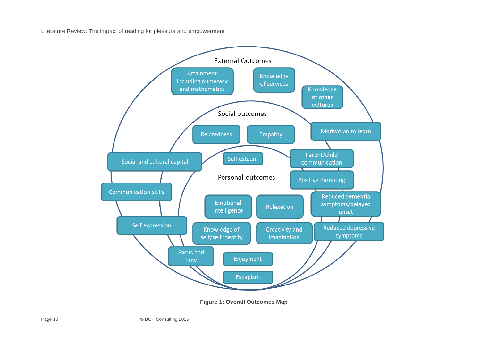

**Figure 1: Overall Outcomes Map**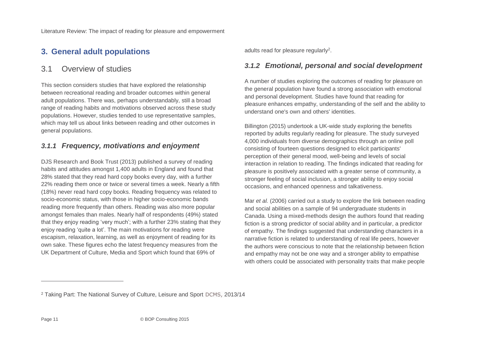# <span id="page-10-0"></span>**3. General adult populations**

## <span id="page-10-1"></span>3.1 Overview of studies

This section considers studies that have explored the relationship between recreational reading and broader outcomes within general adult populations. There was, perhaps understandably, still a broad range of reading habits and motivations observed across these study populations. However, studies tended to use representative samples, which may tell us about links between reading and other outcomes in general populations.

## *3.1.1 Frequency, motivations and enjoyment*

DJS Research and Book Trust (2013) published a survey of reading habits and attitudes amongst 1,400 adults in England and found that 28% stated that they read hard copy books every day, with a further 22% reading them once or twice or several times a week. Nearly a fifth (18%) never read hard copy books. Reading frequency was related to socio-economic status, with those in higher socio-economic bands reading more frequently than others. Reading was also more popular amongst females than males. Nearly half of respondents (49%) stated that they enjoy reading 'very much'; with a further 23% stating that they enjoy reading 'quite a lot'. The main motivations for reading were escapism, relaxation, learning, as well as enjoyment of reading for its own sake. These figures echo the latest frequency measures from the UK Department of Culture, Media and Sport which found that 69% of

adults read for pleasure regularly<sup>2</sup>.

## *3.1.2 Emotional, personal and social development*

A number of studies exploring the outcomes of reading for pleasure on the general population have found a strong association with emotional and personal development. Studies have found that reading for pleasure enhances empathy, understanding of the self and the ability to understand one's own and others' identities.

Billington (2015) undertook a UK-wide study exploring the benefits reported by adults regularly reading for pleasure. The study surveyed 4,000 individuals from diverse demographics through an online poll consisting of fourteen questions designed to elicit participants' perception of their general mood, well-being and levels of social interaction in relation to reading. The findings indicated that reading for pleasure is positively associated with a greater sense of community, a stronger feeling of social inclusion, a stronger ability to enjoy social occasions, and enhanced openness and talkativeness.

Mar *et al.* (2006) carried out a study to explore the link between reading and social abilities on a sample of 94 undergraduate students in Canada. Using a mixed-methods design the authors found that reading fiction is a strong predictor of social ability and in particular, a predictor of empathy. The findings suggested that understanding characters in a narrative fiction is related to understanding of real life peers, however the authors were conscious to note that the relationship between fiction and empathy may not be one way and a stronger ability to empathise with others could be associated with personality traits that make people

 $\overline{a}$ 

<sup>2</sup> Taking Part: The National Survey of Culture, Leisure and Sport DCMS, 2013/14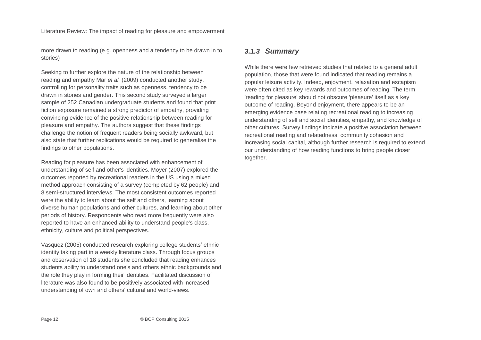more drawn to reading (e.g. openness and a tendency to be drawn in to stories)

Seeking to further explore the nature of the relationship between reading and empathy Mar *et al.* (2009) conducted another study, controlling for personality traits such as openness, tendency to be drawn in stories and gender. This second study surveyed a larger sample of 252 Canadian undergraduate students and found that print fiction exposure remained a strong predictor of empathy, providing convincing evidence of the positive relationship between reading for pleasure and empathy. The authors suggest that these findings challenge the notion of frequent readers being socially awkward, but also state that further replications would be required to generalise the findings to other populations.

Reading for pleasure has been associated with enhancement of understanding of self and other's identities. Moyer (2007) explored the outcomes reported by recreational readers in the US using a mixed method approach consisting of a survey (completed by 62 people) and 8 semi-structured interviews. The most consistent outcomes reported were the ability to learn about the self and others, learning about diverse human populations and other cultures, and learning about other periods of history. Respondents who read more frequently were also reported to have an enhanced ability to understand people's class, ethnicity, culture and political perspectives.

Vasquez (2005) conducted research exploring college students' ethnic identity taking part in a weekly literature class. Through focus groups and observation of 18 students she concluded that reading enhances students ability to understand one's and others ethnic backgrounds and the role they play in forming their identities. Facilitated discussion of literature was also found to be positively associated with increased understanding of own and others' cultural and world-views.

#### *3.1.3 Summary*

While there were few retrieved studies that related to a general adult population, those that were found indicated that reading remains a popular leisure activity. Indeed, enjoyment, relaxation and escapism were often cited as key rewards and outcomes of reading. The term 'reading for pleasure' should not obscure 'pleasure' itself as a key outcome of reading. Beyond enjoyment, there appears to be an emerging evidence base relating recreational reading to increasing understanding of self and social identities, empathy, and knowledge of other cultures. Survey findings indicate a positive association between recreational reading and relatedness, community cohesion and increasing social capital, although further research is required to extend our understanding of how reading functions to bring people closer together.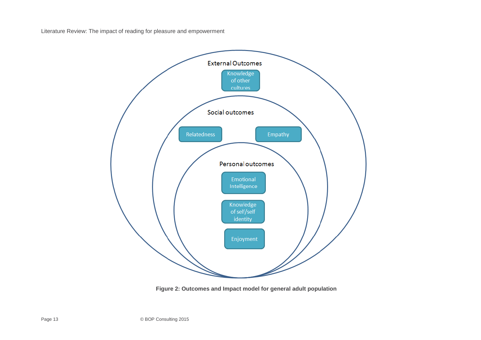

**Figure 2: Outcomes and Impact model for general adult population**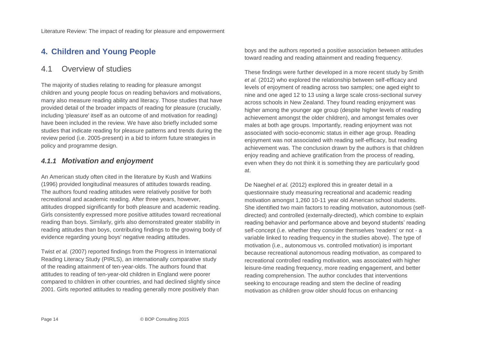# <span id="page-13-0"></span>**4. Children and Young People**

## <span id="page-13-1"></span>4.1 Overview of studies

The majority of studies relating to reading for pleasure amongst children and young people focus on reading behaviors and motivations, many also measure reading ability and literacy. Those studies that have provided detail of the broader impacts of reading for pleasure (crucially, including 'pleasure' itself as an outcome of and motivation for reading) have been included in the review. We have also briefly included some studies that indicate reading for pleasure patterns and trends during the review period (i.e. 2005-present) in a bid to inform future strategies in policy and programme design.

#### *4.1.1 Motivation and enjoyment*

An American study often cited in the literature by Kush and Watkins (1996) provided longitudinal measures of attitudes towards reading. The authors found reading attitudes were relatively positive for both recreational and academic reading. After three years, however, attitudes dropped significantly for both pleasure and academic reading. Girls consistently expressed more positive attitudes toward recreational reading than boys. Similarly, girls also demonstrated greater stability in reading attitudes than boys, contributing findings to the growing body of evidence regarding young boys' negative reading attitudes.

Twist *et al.* (2007) reported findings from the Progress in International Reading Literacy Study (PIRLS), an internationally comparative study of the reading attainment of ten-year-olds. The authors found that attitudes to reading of ten-year-old children in England were poorer compared to children in other countries, and had declined slightly since 2001. Girls reported attitudes to reading generally more positively than

boys and the authors reported a positive association between attitudes toward reading and reading attainment and reading frequency.

These findings were further developed in a more recent study by Smith *et al.* (2012) who explored the relationship between self-efficacy and levels of enjoyment of reading across two samples; one aged eight to nine and one aged 12 to 13 using a large scale cross-sectional survey across schools in New Zealand. They found reading enjoyment was higher among the younger age group (despite higher levels of reading achievement amongst the older children), and amongst females over males at both age groups. Importantly, reading enjoyment was not associated with socio-economic status in either age group. Reading enjoyment was not associated with reading self-efficacy, but reading achievement was. The conclusion drawn by the authors is that children enjoy reading and achieve gratification from the process of reading, even when they do not think it is something they are particularly good at.

De Naeghel *et al.* (2012) explored this in greater detail in a questionnaire study measuring recreational and academic reading motivation amongst 1,260 10-11 year old American school students. She identified two main factors to reading motivation, autonomous (selfdirected) and controlled (externally-directed), which combine to explain reading behavior and performance above and beyond students' reading self-concept (i.e. whether they consider themselves 'readers' or not - a variable linked to reading frequency in the studies above). The type of motivation (i.e., autonomous vs. controlled motivation) is important because recreational autonomous reading motivation, as compared to recreational controlled reading motivation, was associated with higher leisure-time reading frequency, more reading engagement, and better reading comprehension. The author concludes that interventions seeking to encourage reading and stem the decline of reading motivation as children grow older should focus on enhancing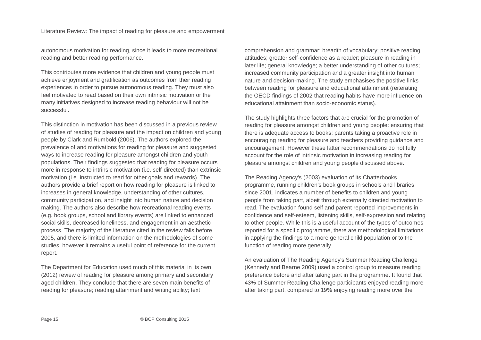autonomous motivation for reading, since it leads to more recreational reading and better reading performance.

This contributes more evidence that children and young people must achieve enjoyment and gratification as outcomes from their reading experiences in order to pursue autonomous reading. They must also feel motivated to read based on their own intrinsic motivation or the many initiatives designed to increase reading behaviour will not be successful.

This distinction in motivation has been discussed in a previous review of studies of reading for pleasure and the impact on children and young people by Clark and Rumbold (2006). The authors explored the prevalence of and motivations for reading for pleasure and suggested ways to increase reading for pleasure amongst children and youth populations. Their findings suggested that reading for pleasure occurs more in response to intrinsic motivation (i.e. self-directed) than extrinsic motivation (i.e. instructed to read for other goals and rewards). The authors provide a brief report on how reading for pleasure is linked to increases in general knowledge, understanding of other cultures, community participation, and insight into human nature and decision making. The authors also describe how recreational reading events (e.g. book groups, school and library events) are linked to enhanced social skills, decreased loneliness, and engagement in an aesthetic process. The majority of the literature cited in the review falls before 2005, and there is limited information on the methodologies of some studies, however it remains a useful point of reference for the current report.

The Department for Education used much of this material in its own (2012) review of reading for pleasure among primary and secondary aged children. They conclude that there are seven main benefits of reading for pleasure; reading attainment and writing ability; text

comprehension and grammar; breadth of vocabulary; positive reading attitudes; greater self-confidence as a reader; pleasure in reading in later life; general knowledge; a better understanding of other cultures; increased community participation and a greater insight into human nature and decision-making. The study emphasises the positive links between reading for pleasure and educational attainment (reiterating the OECD findings of 2002 that reading habits have more influence on educational attainment than socio-economic status).

The study highlights three factors that are crucial for the promotion of reading for pleasure amongst children and young people: ensuring that there is adequate access to books; parents taking a proactive role in encouraging reading for pleasure and teachers providing guidance and encouragement. However these latter recommendations do not fully account for the role of intrinsic motivation in increasing reading for pleasure amongst children and young people discussed above.

The Reading Agency's (2003) evaluation of its Chatterbooks programme, running children's book groups in schools and libraries since 2001, indicates a number of benefits to children and young people from taking part, albeit through externally directed motivation to read. The evaluation found self and parent reported improvements in confidence and self-esteem, listening skills, self-expression and relating to other people. While this is a useful account of the types of outcomes reported for a specific programme, there are methodological limitations in applying the findings to a more general child population or to the function of reading more generally.

An evaluation of The Reading Agency's Summer Reading Challenge (Kennedy and Bearne 2009) used a control group to measure reading preference before and after taking part in the programme. It found that 43% of Summer Reading Challenge participants enjoyed reading more after taking part, compared to 19% enjoying reading more over the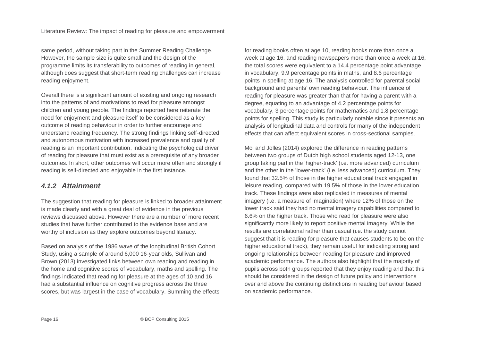same period, without taking part in the Summer Reading Challenge. However, the sample size is quite small and the design of the programme limits its transferability to outcomes of reading in general, although does suggest that short-term reading challenges can increase reading enjoyment.

Overall there is a significant amount of existing and ongoing research into the patterns of and motivations to read for pleasure amongst children and young people. The findings reported here reiterate the need for enjoyment and pleasure itself to be considered as a key outcome of reading behaviour in order to further encourage and understand reading frequency. The strong findings linking self-directed and autonomous motivation with increased prevalence and quality of reading is an important contribution, indicating the psychological driver of reading for pleasure that must exist as a prerequisite of any broader outcomes. In short, other outcomes will occur more often and strongly if reading is self-directed and enjoyable in the first instance.

## *4.1.2 Attainment*

The suggestion that reading for pleasure is linked to broader attainment is made clearly and with a great deal of evidence in the previous reviews discussed above. However there are a number of more recent studies that have further contributed to the evidence base and are worthy of inclusion as they explore outcomes beyond literacy.

Based on analysis of the 1986 wave of the longitudinal British Cohort Study, using a sample of around 6,000 16-year olds, Sullivan and Brown (2013) investigated links between own reading and reading in the home and cognitive scores of vocabulary, maths and spelling. The findings indicated that reading for pleasure at the ages of 10 and 16 had a substantial influence on cognitive progress across the three scores, but was largest in the case of vocabulary. Summing the effects for reading books often at age 10, reading books more than once a week at age 16, and reading newspapers more than once a week at 16, the total scores were equivalent to a 14.4 percentage point advantage in vocabulary, 9.9 percentage points in maths, and 8.6 percentage points in spelling at age 16. The analysis controlled for parental social background and parents' own reading behaviour. The influence of reading for pleasure was greater than that for having a parent with a degree, equating to an advantage of 4.2 percentage points for vocabulary, 3 percentage points for mathematics and 1.8 percentage points for spelling. This study is particularly notable since it presents an analysis of longitudinal data and controls for many of the independent effects that can affect equivalent scores in cross-sectional samples.

Mol and Jolles (2014) explored the difference in reading patterns between two groups of Dutch high school students aged 12-13, one group taking part in the 'higher-track' (i.e. more advanced) curriculum and the other in the 'lower-track' (i.e. less advanced) curriculum. They found that 32.5% of those in the higher educational track engaged in leisure reading, compared with 19.5% of those in the lower education track. These findings were also replicated in measures of mental imagery (i.e. a measure of imagination) where 12% of those on the lower track said they had no mental imagery capabilities compared to 6.6% on the higher track. Those who read for pleasure were also significantly more likely to report positive mental imagery. While the results are correlational rather than casual (i.e. the study cannot suggest that it is reading for pleasure that causes students to be on the higher educational track), they remain useful for indicating strong and ongoing relationships between reading for pleasure and improved academic performance. The authors also highlight that the majority of pupils across both groups reported that they enjoy reading and that this should be considered in the design of future policy and interventions over and above the continuing distinctions in reading behaviour based on academic performance.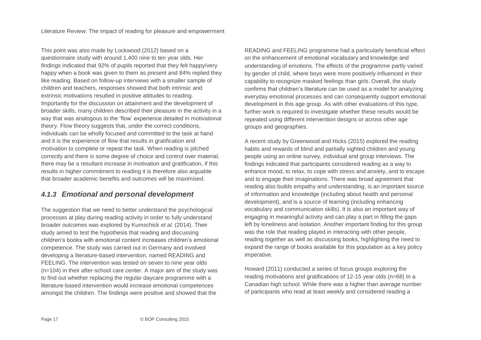This point was also made by Lockwood (2012) based on a questionnaire study with around 1,400 nine to ten year olds. Her findings indicated that 92% of pupils reported that they felt happy/very happy when a book was given to them as present and 84% replied they like reading. Based on follow-up interviews with a smaller sample of children and teachers, responses showed that both intrinsic and extrinsic motivations resulted in positive attitudes to reading. Importantly for the discussion on attainment and the development of broader skills, many children described their pleasure in the activity in a way that was analogous to the 'flow' experience detailed in motivational theory. Flow theory suggests that, under the correct conditions, individuals can be wholly focused and committed to the task at hand and it is the experience of flow that results in gratification and motivation to complete or repeat the task. When reading is pitched correctly and there is some degree of choice and control over material, there may be a resultant increase in motivation and gratification, if this results in higher commitment to reading it is therefore also arguable that broader academic benefits and outcomes will be maximised.

## *4.1.3 Emotional and personal development*

The suggestion that we need to better understand the psychological processes at play during reading activity in order to fully understand broader outcomes was explored by Kumschick *et al.* (2014). Their study aimed to test the hypothesis that reading and discussing children's books with emotional content increases children's emotional competence. The study was carried out in Germany and involved developing a literature-based intervention, named READING and FEELING. The intervention was tested on seven to nine year olds (n=104) in their after-school care center. A major aim of the study was to find out whether replacing the regular daycare programme with a literature-based intervention would increase emotional competences amongst the children. The findings were positive and showed that the

READING and FEELING programme had a particularly beneficial effect on the enhancement of emotional vocabulary and knowledge and understanding of emotions. The effects of the programme partly varied by gender of child, where boys were more positively influenced in their capability to recognize masked feelings than girls. Overall, the study confirms that children's literature can be used as a model for analyzing everyday emotional processes and can consequently support emotional development in this age group. As with other evaluations of this type, further work is required to investigate whether these results would be repeated using different intervention designs or across other age groups and geographies.

A recent study by Greenwood and Hicks (2015) explored the reading habits and rewards of blind and partially sighted children and young people using an online survey, individual and group interviews. The findings indicated that participants considered reading as a way to enhance mood, to relax, to cope with stress and anxiety, and to escape and to engage their imaginations. There was broad agreement that reading also builds empathy and understanding, is an important source of information and knowledge (including about health and personal development), and is a source of learning (including enhancing vocabulary and communication skills). It is also an important way of engaging in meaningful activity and can play a part in filling the gaps left by loneliness and isolation. Another important finding for this group was the role that reading played in interacting with other people, reading together as well as discussing books, highlighting the need to expand the range of books available for this population as a key policy imperative.

Howard (2011) conducted a series of focus groups exploring the reading motivations and gratifications of 12-15 year olds (n=68) In a Canadian high school. While there was a higher than average number of participants who read at least weekly and considered reading a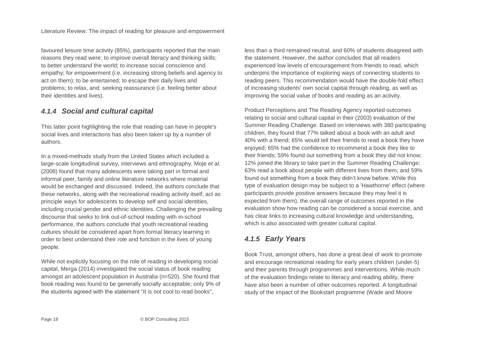favoured leisure time activity (85%), participants reported that the main reasons they read were; to improve overall literacy and thinking skills; to better understand the world; to increase social conscience and empathy; for empowerment (i.e. increasing strong beliefs and agency to act on them); to be entertained; to escape their daily lives and problems; to relax, and; seeking reassurance (i.e. feeling better about their identities and lives).

#### *4.1.4 Social and cultural capital*

This latter point highlighting the role that reading can have in people's social lives and interactions has also been taken up by a number of authors.

In a mixed-methods study from the United States which included a large-scale longitudinal survey, interviews and ethnography, Moje *et al.* (2008) found that many adolescents were taking part in formal and informal peer, family and online literature networks where material would be exchanged and discussed. Indeed, the authors conclude that these networks, along with the recreational reading activity itself, act as principle ways for adolescents to develop self and social identities, including crucial gender and ethnic identities. Challenging the prevailing discourse that seeks to link out-of-school reading with in-school performance, the authors conclude that youth recreational reading cultures should be considered apart from formal literacy learning in order to best understand their role and function in the lives of young people.

While not explicitly focusing on the role of reading in developing social capital, Merga (2014) investigated the social status of book reading amongst an adolescent population in Australia (n=520). She found that book reading was found to be generally socially acceptable; only 9% of the students agreed with the statement "It is not cool to read books",

less than a third remained neutral, and 60% of students disagreed with the statement. However, the author concludes that all readers experienced low levels of encouragement from friends to read, which underpins the importance of exploring ways of connecting students to reading peers. This recommendation would have the double-fold effect of increasing students' own social capital through reading, as well as improving the social value of books and reading as an activity.

Product Perceptions and The Reading Agency reported outcomes relating to social and cultural capital in their (2003) evaluation of the Summer Reading Challenge. Based on interviews with 380 participating children, they found that 77% talked about a book with an adult and 40% with a friend; 65% would tell their friends to read a book they have enjoyed; 65% had the confidence to recommend a book they like to their friends; 59% found out something from a book they did not know; 12% joined the library to take part in the Summer Reading Challenge; 63% read a book about people with different lives from them; and 59% found out something from a book they didn't know before. While this type of evaluation design may be subject to a 'Hawthorne' effect (where participants provide positive answers because they may feel it is expected from them), the overall range of outcomes reported in the evaluation show how reading can be considered a social exercise, and has clear links to increasing cultural knowledge and understanding, which is also associated with greater cultural capital.

## *4.1.5 Early Years*

Book Trust, amongst others, has done a great deal of work to promote and encourage recreational reading for early years children (under-5) and their parents through programmes and interventions. While much of the evaluation findings relate to literacy and reading ability, there have also been a number of other outcomes reported. A longitudinal study of the impact of the Bookstart programme (Wade and Moore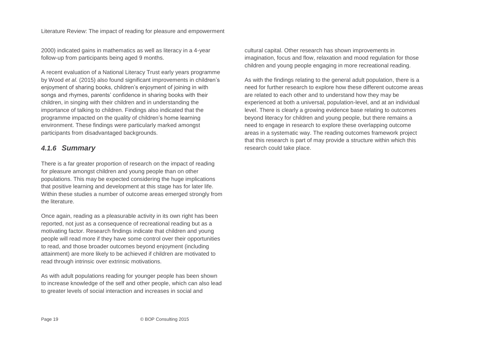2000) indicated gains in mathematics as well as literacy in a 4-year follow-up from participants being aged 9 months.

A recent evaluation of a National Literacy Trust early years programme by Wood *et al.* (2015) also found significant improvements in children's enjoyment of sharing books, children's enjoyment of joining in with songs and rhymes, parents' confidence in sharing books with their children, in singing with their children and in understanding the importance of talking to children. Findings also indicated that the programme impacted on the quality of children's home learning environment. These findings were particularly marked amongst participants from disadvantaged backgrounds.

#### *4.1.6 Summary*

There is a far greater proportion of research on the impact of reading for pleasure amongst children and young people than on other populations. This may be expected considering the huge implications that positive learning and development at this stage has for later life. Within these studies a number of outcome areas emerged strongly from the literature.

Once again, reading as a pleasurable activity in its own right has been reported, not just as a consequence of recreational reading but as a motivating factor. Research findings indicate that children and young people will read more if they have some control over their opportunities to read, and those broader outcomes beyond enjoyment (including attainment) are more likely to be achieved if children are motivated to read through intrinsic over extrinsic motivations.

As with adult populations reading for younger people has been shown to increase knowledge of the self and other people, which can also lead to greater levels of social interaction and increases in social and

cultural capital. Other research has shown improvements in imagination, focus and flow, relaxation and mood regulation for those children and young people engaging in more recreational reading.

As with the findings relating to the general adult population, there is a need for further research to explore how these different outcome areas are related to each other and to understand how they may be experienced at both a universal, population-level, and at an individual level. There is clearly a growing evidence base relating to outcomes beyond literacy for children and young people, but there remains a need to engage in research to explore these overlapping outcome areas in a systematic way. The reading outcomes framework project that this research is part of may provide a structure within which this research could take place.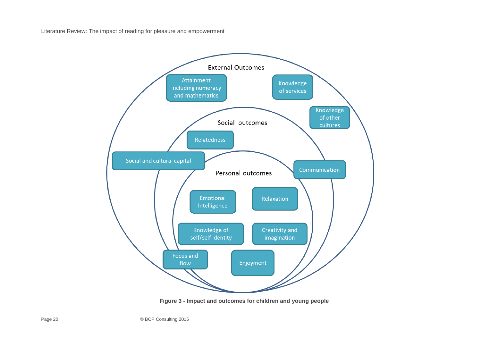

**Figure 3 - Impact and outcomes for children and young people**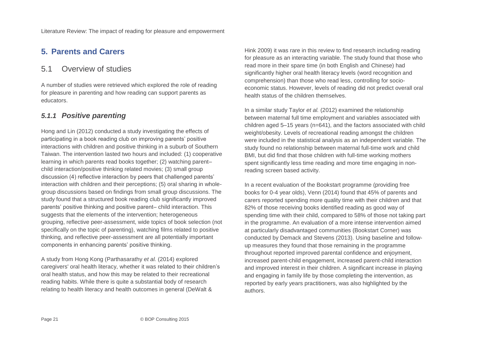## <span id="page-20-0"></span>**5. Parents and Carers**

## <span id="page-20-1"></span>5.1 Overview of studies

A number of studies were retrieved which explored the role of reading for pleasure in parenting and how reading can support parents as educators.

## *5.1.1 Positive parenting*

Hong and Lin (2012) conducted a study investigating the effects of participating in a book reading club on improving parents' positive interactions with children and positive thinking in a suburb of Southern Taiwan. The intervention lasted two hours and included: (1) cooperative learning in which parents read books together; (2) watching parent– child interaction/positive thinking related movies; (3) small group discussion (4) reflective interaction by peers that challenged parents' interaction with children and their perceptions; (5) oral sharing in wholegroup discussions based on findings from small group discussions. The study found that a structured book reading club significantly improved parents' positive thinking and positive parent– child interaction. This suggests that the elements of the intervention; heterogeneous grouping, reflective peer-assessment, wide topics of book selection (not specifically on the topic of parenting), watching films related to positive thinking, and reflective peer-assessment are all potentially important components in enhancing parents' positive thinking.

A study from Hong Kong (Parthasarathy *et al.* (2014) explored caregivers' oral health literacy, whether it was related to their children's oral health status, and how this may be related to their recreational reading habits. While there is quite a substantial body of research relating to health literacy and health outcomes in general (DeWalt &

Hink 2009) it was rare in this review to find research including reading for pleasure as an interacting variable. The study found that those who read more in their spare time (in both English and Chinese) had significantly higher oral health literacy levels (word recognition and comprehension) than those who read less, controlling for socioeconomic status. However, levels of reading did not predict overall oral health status of the children themselves.

In a similar study Taylor *et al.* (2012) examined the relationship between maternal full time employment and variables associated with children aged 5–15 years (n=641), and the factors associated with child weight/obesity. Levels of recreational reading amongst the children were included in the statistical analysis as an independent variable. The study found no relationship between maternal full-time work and child BMI, but did find that those children with full-time working mothers spent significantly less time reading and more time engaging in nonreading screen based activity.

In a recent evaluation of the Bookstart programme (providing free books for 0-4 year olds), Venn (2014) found that 45% of parents and carers reported spending more quality time with their children and that 82% of those receiving books identified reading as good way of spending time with their child, compared to 58% of those not taking part in the programme. An evaluation of a more intense intervention aimed at particularly disadvantaged communities (Bookstart Corner) was conducted by Demack and Stevens (2013). Using baseline and followup measures they found that those remaining in the programme throughout reported improved parental confidence and enjoyment, increased parent-child engagement, increased parent-child interaction and improved interest in their children. A significant increase in playing and engaging in family life by those completing the intervention, as reported by early years practitioners, was also highlighted by the authors.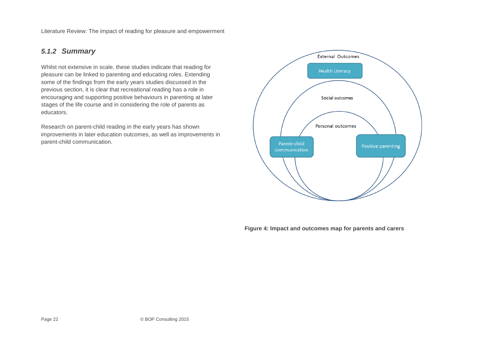## *5.1.2 Summary*

Whilst not extensive in scale, these studies indicate that reading for pleasure can be linked to parenting and educating roles. Extending some of the findings from the early years studies discussed in the previous section, it is clear that recreational reading has a role in encouraging and supporting positive behaviours in parenting at later stages of the life course and in considering the role of parents as educators.

Research on parent-child reading in the early years has shown improvements in later education outcomes, as well as improvements in parent-child communication.



**Figure 4: Impact and outcomes map for parents and carers**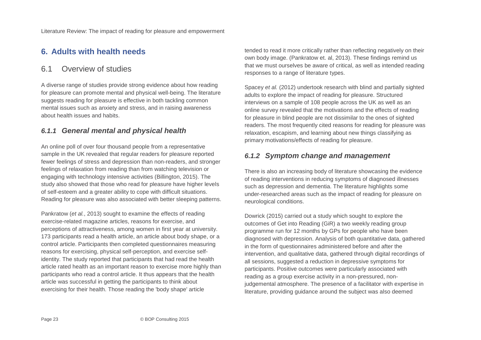## <span id="page-22-0"></span>**6. Adults with health needs**

## <span id="page-22-1"></span>6.1 Overview of studies

A diverse range of studies provide strong evidence about how reading for pleasure can promote mental and physical well-being. The literature suggests reading for pleasure is effective in both tackling common mental issues such as anxiety and stress, and in raising awareness about health issues and habits.

## *6.1.1 General mental and physical health*

An online poll of over four thousand people from a representative sample in the UK revealed that regular readers for pleasure reported fewer feelings of stress and depression than non-readers, and stronger feelings of relaxation from reading than from watching television or engaging with technology intensive activities (Billington, 2015). The study also showed that those who read for pleasure have higher levels of self-esteem and a greater ability to cope with difficult situations. Reading for pleasure was also associated with better sleeping patterns.

Pankratow (*et al.*, 2013) sought to examine the effects of reading exercise-related magazine articles, reasons for exercise, and perceptions of attractiveness, among women in first year at university. 173 participants read a health article, an article about body shape, or a control article. Participants then completed questionnaires measuring reasons for exercising, physical self-perception, and exercise selfidentity. The study reported that participants that had read the health article rated health as an important reason to exercise more highly than participants who read a control article. It thus appears that the health article was successful in getting the participants to think about exercising for their health. Those reading the 'body shape' article

tended to read it more critically rather than reflecting negatively on their own body image. (Pankratow et. al, 2013). These findings remind us that we must ourselves be aware of critical, as well as intended reading responses to a range of literature types.

Spacey *et al.* (2012) undertook research with blind and partially sighted adults to explore the impact of reading for pleasure. Structured interviews on a sample of 108 people across the UK as well as an online survey revealed that the motivations and the effects of reading for pleasure in blind people are not dissimilar to the ones of sighted readers. The most frequently cited reasons for reading for pleasure was relaxation, escapism, and learning about new things classifying as primary motivations/effects of reading for pleasure.

## *6.1.2 Symptom change and management*

There is also an increasing body of literature showcasing the evidence of reading interventions in reducing symptoms of diagnosed illnesses such as depression and dementia. The literature highlights some under-researched areas such as the impact of reading for pleasure on neurological conditions.

Dowrick (2015) carried out a study which sought to explore the outcomes of Get into Reading (GiR) a two weekly reading group programme run for 12 months by GPs for people who have been diagnosed with depression. Analysis of both quantitative data, gathered in the form of questionnaires administered before and after the intervention, and qualitative data, gathered through digital recordings of all sessions, suggested a reduction in depressive symptoms for participants. Positive outcomes were particularly associated with reading as a group exercise activity in a non-pressured, nonjudgemental atmosphere. The presence of a facilitator with expertise in literature, providing guidance around the subject was also deemed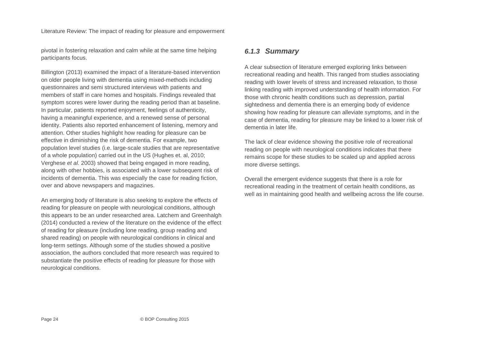pivotal in fostering relaxation and calm while at the same time helping participants focus.

Billington (2013) examined the impact of a literature-based intervention on older people living with dementia using mixed-methods including questionnaires and semi structured interviews with patients and members of staff in care homes and hospitals. Findings revealed that symptom scores were lower during the reading period than at baseline. In particular, patients reported enjoyment, feelings of authenticity, having a meaningful experience, and a renewed sense of personal identity. Patients also reported enhancement of listening, memory and attention. Other studies highlight how reading for pleasure can be effective in diminishing the risk of dementia. For example, two population level studies (i.e. large-scale studies that are representative of a whole population) carried out in the US (Hughes et. al, 2010; Verghese *et al.* 2003) showed that being engaged in more reading, along with other hobbies, is associated with a lower subsequent risk of incidents of dementia. This was especially the case for reading fiction, over and above newspapers and magazines.

An emerging body of literature is also seeking to explore the effects of reading for pleasure on people with neurological conditions, although this appears to be an under researched area. Latchem and Greenhalgh (2014) conducted a review of the literature on the evidence of the effect of reading for pleasure (including lone reading, group reading and shared reading) on people with neurological conditions in clinical and long-term settings. Although some of the studies showed a positive association, the authors concluded that more research was required to substantiate the positive effects of reading for pleasure for those with neurological conditions.

#### *6.1.3 Summary*

A clear subsection of literature emerged exploring links between recreational reading and health. This ranged from studies associating reading with lower levels of stress and increased relaxation, to those linking reading with improved understanding of health information. For those with chronic health conditions such as depression, partial sightedness and dementia there is an emerging body of evidence showing how reading for pleasure can alleviate symptoms, and in the case of dementia, reading for pleasure may be linked to a lower risk of dementia in later life.

The lack of clear evidence showing the positive role of recreational reading on people with neurological conditions indicates that there remains scope for these studies to be scaled up and applied across more diverse settings.

Overall the emergent evidence suggests that there is a role for recreational reading in the treatment of certain health conditions, as well as in maintaining good health and wellbeing across the life course.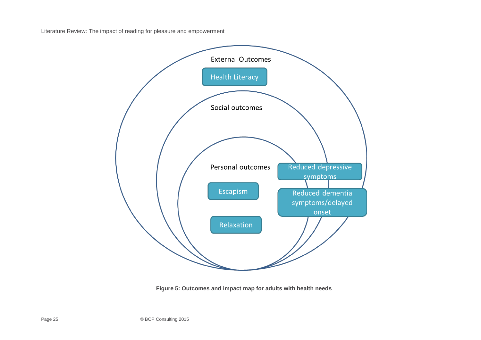

**Figure 5: Outcomes and impact map for adults with health needs**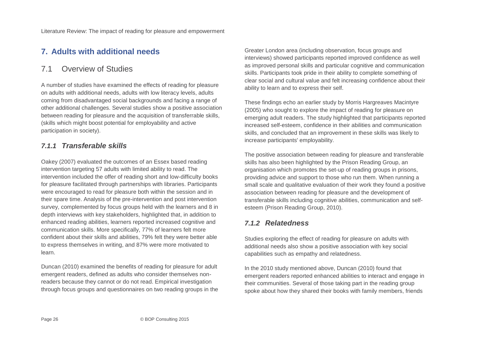# <span id="page-25-0"></span>**7. Adults with additional needs**

## <span id="page-25-1"></span>7.1 Overview of Studies

A number of studies have examined the effects of reading for pleasure on adults with additional needs, adults with low literacy levels, adults coming from disadvantaged social backgrounds and facing a range of other additional challenges. Several studies show a positive association between reading for pleasure and the acquisition of transferrable skills, (skills which might boost potential for employability and active participation in society).

## *7.1.1 Transferable skills*

Oakey (2007) evaluated the outcomes of an Essex based reading intervention targeting 57 adults with limited ability to read. The intervention included the offer of reading short and low-difficulty books for pleasure facilitated through partnerships with libraries. Participants were encouraged to read for pleasure both within the session and in their spare time. Analysis of the pre-intervention and post intervention survey, complemented by focus groups held with the learners and 8 in depth interviews with key stakeholders, highlighted that, in addition to enhanced reading abilities, learners reported increased cognitive and communication skills. More specifically, 77% of learners felt more confident about their skills and abilities, 79% felt they were better able to express themselves in writing, and 87% were more motivated to learn.

Duncan (2010) examined the benefits of reading for pleasure for adult emergent readers, defined as adults who consider themselves nonreaders because they cannot or do not read. Empirical investigation through focus groups and questionnaires on two reading groups in the Greater London area (including observation, focus groups and interviews) showed participants reported improved confidence as well as improved personal skills and particular cognitive and communication skills. Participants took pride in their ability to complete something of clear social and cultural value and felt increasing confidence about their ability to learn and to express their self.

These findings echo an earlier study by Morris Hargreaves Macintyre (2005) who sought to explore the impact of reading for pleasure on emerging adult readers. The study highlighted that participants reported increased self-esteem, confidence in their abilities and communication skills, and concluded that an improvement in these skills was likely to increase participants' employability.

The positive association between reading for pleasure and transferable skills has also been highlighted by the Prison Reading Group, an organisation which promotes the set-up of reading groups in prisons, providing advice and support to those who run them. When running a small scale and qualitative evaluation of their work they found a positive association between reading for pleasure and the development of transferable skills including cognitive abilities, communication and selfesteem (Prison Reading Group, 2010).

#### *7.1.2 Relatedness*

Studies exploring the effect of reading for pleasure on adults with additional needs also show a positive association with key social capabilities such as empathy and relatedness.

In the 2010 study mentioned above, Duncan (2010) found that emergent readers reported enhanced abilities to interact and engage in their communities. Several of those taking part in the reading group spoke about how they shared their books with family members, friends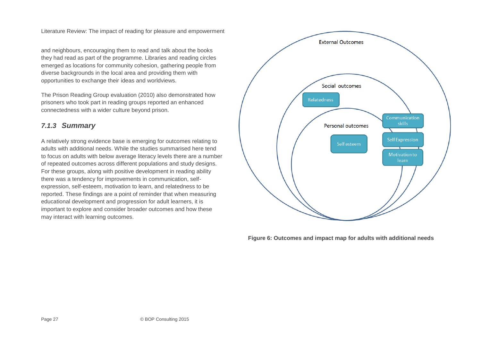and neighbours, encouraging them to read and talk about the books they had read as part of the programme. Libraries and reading circles emerged as locations for community cohesion, gathering people from diverse backgrounds in the local area and providing them with opportunities to exchange their ideas and worldviews.

The Prison Reading Group evaluation (2010) also demonstrated how prisoners who took part in reading groups reported an enhanced connectedness with a wider culture beyond prison.

## *7.1.3 Summary*

A relatively strong evidence base is emerging for outcomes relating to adults with additional needs. While the studies summarised here tend to focus on adults with below average literacy levels there are a number of repeated outcomes across different populations and study designs. For these groups, along with positive development in reading ability there was a tendency for improvements in communication, selfexpression, self-esteem, motivation to learn, and relatedness to be reported. These findings are a point of reminder that when measuring educational development and progression for adult learners, it is important to explore and consider broader outcomes and how these may interact with learning outcomes.



**Figure 6: Outcomes and impact map for adults with additional needs**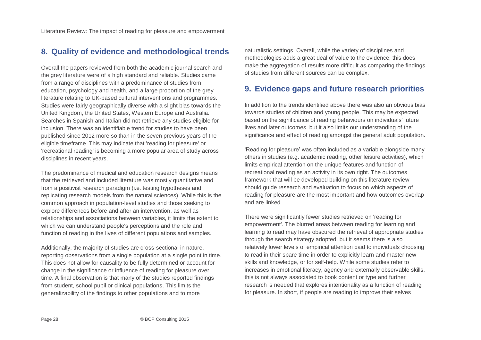## <span id="page-27-0"></span>**8. Quality of evidence and methodological trends**

Overall the papers reviewed from both the academic journal search and the grey literature were of a high standard and reliable. Studies came from a range of disciplines with a predominance of studies from education, psychology and health, and a large proportion of the grey literature relating to UK-based cultural interventions and programmes. Studies were fairly geographically diverse with a slight bias towards the United Kingdom, the United States, Western Europe and Australia. Searches in Spanish and Italian did not retrieve any studies eligible for inclusion. There was an identifiable trend for studies to have been published since 2012 more so than in the seven previous years of the eligible timeframe. This may indicate that 'reading for pleasure' or 'recreational reading' is becoming a more popular area of study across disciplines in recent years.

The predominance of medical and education research designs means that the retrieved and included literature was mostly quantitative and from a positivist research paradigm (i.e. testing hypotheses and replicating research models from the natural sciences). While this is the common approach in population-level studies and those seeking to explore differences before and after an intervention, as well as relationships and associations between variables, it limits the extent to which we can understand people's perceptions and the role and function of reading in the lives of different populations and samples.

Additionally, the majority of studies are cross-sectional in nature, reporting observations from a single population at a single point in time. This does not allow for causality to be fully determined or account for change in the significance or influence of reading for pleasure over time. A final observation is that many of the studies reported findings from student, school pupil or clinical populations. This limits the generalizability of the findings to other populations and to more

naturalistic settings. Overall, while the variety of disciplines and methodologies adds a great deal of value to the evidence, this does make the aggregation of results more difficult as comparing the findings of studies from different sources can be complex.

## <span id="page-27-1"></span>**9. Evidence gaps and future research priorities**

In addition to the trends identified above there was also an obvious bias towards studies of children and young people. This may be expected based on the significance of reading behaviours on individuals' future lives and later outcomes, but it also limits our understanding of the significance and effect of reading amongst the general adult population.

'Reading for pleasure' was often included as a variable alongside many others in studies (e.g. academic reading, other leisure activities), which limits empirical attention on the unique features and function of recreational reading as an activity in its own right. The outcomes framework that will be developed building on this literature review should guide research and evaluation to focus on which aspects of reading for pleasure are the most important and how outcomes overlap and are linked.

There were significantly fewer studies retrieved on 'reading for empowerment'. The blurred areas between reading for learning and learning to read may have obscured the retrieval of appropriate studies through the search strategy adopted, but it seems there is also relatively lower levels of empirical attention paid to individuals choosing to read in their spare time in order to explicitly learn and master new skills and knowledge, or for self-help. While some studies refer to increases in emotional literacy, agency and externally observable skills, this is not always associated to book content or type and further research is needed that explores intentionality as a function of reading for pleasure. In short, if people are reading to improve their selves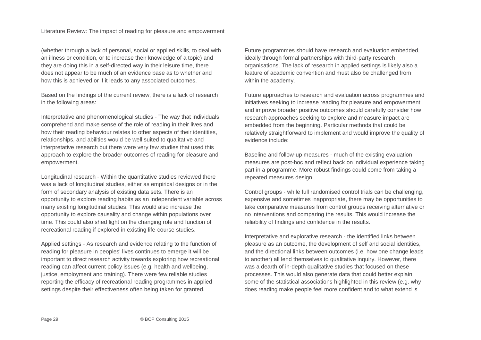(whether through a lack of personal, social or applied skills, to deal with an illness or condition, or to increase their knowledge of a topic) and they are doing this in a self-directed way in their leisure time, there does not appear to be much of an evidence base as to whether and how this is achieved or if it leads to any associated outcomes.

Based on the findings of the current review, there is a lack of research in the following areas:

Interpretative and phenomenological studies - The way that individuals comprehend and make sense of the role of reading in their lives and how their reading behaviour relates to other aspects of their identities, relationships, and abilities would be well suited to qualitative and interpretative research but there were very few studies that used this approach to explore the broader outcomes of reading for pleasure and empowerment.

Longitudinal research - Within the quantitative studies reviewed there was a lack of longitudinal studies, either as empirical designs or in the form of secondary analysis of existing data sets. There is an opportunity to explore reading habits as an independent variable across many existing longitudinal studies. This would also increase the opportunity to explore causality and change within populations over time. This could also shed light on the changing role and function of recreational reading if explored in existing life-course studies.

Applied settings - As research and evidence relating to the function of reading for pleasure in peoples' lives continues to emerge it will be important to direct research activity towards exploring how recreational reading can affect current policy issues (e.g. health and wellbeing, justice, employment and training). There were few reliable studies reporting the efficacy of recreational reading programmes in applied settings despite their effectiveness often being taken for granted.

Future programmes should have research and evaluation embedded, ideally through formal partnerships with third-party research organisations. The lack of research in applied settings is likely also a feature of academic convention and must also be challenged from within the academy.

Future approaches to research and evaluation across programmes and initiatives seeking to increase reading for pleasure and empowerment and improve broader positive outcomes should carefully consider how research approaches seeking to explore and measure impact are embedded from the beginning. Particular methods that could be relatively straightforward to implement and would improve the quality of evidence include:

Baseline and follow-up measures - much of the existing evaluation measures are post-hoc and reflect back on individual experience taking part in a programme. More robust findings could come from taking a repeated measures design.

Control groups - while full randomised control trials can be challenging, expensive and sometimes inappropriate, there may be opportunities to take comparative measures from control groups receiving alternative or no interventions and comparing the results. This would increase the reliability of findings and confidence in the results.

Interpretative and explorative research - the identified links between pleasure as an outcome, the development of self and social identities, and the directional links between outcomes (i.e. how one change leads to another) all lend themselves to qualitative inquiry. However, there was a dearth of in-depth qualitative studies that focused on these processes. This would also generate data that could better explain some of the statistical associations highlighted in this review (e.g. why does reading make people feel more confident and to what extend is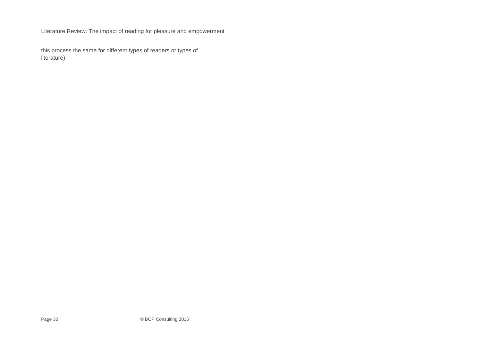this process the same for different types of readers or types of literature).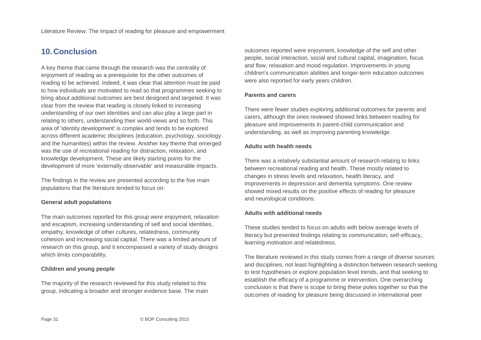# <span id="page-30-0"></span>**10.Conclusion**

A key theme that came through the research was the centrality of enjoyment of reading as a prerequisite for the other outcomes of reading to be achieved. Indeed, it was clear that attention must be paid to how individuals are motivated to read so that programmes seeking to bring about additional outcomes are best designed and targeted. It was clear from the review that reading is closely linked to increasing understanding of our own identities and can also play a large part in relating to others, understanding their world-views and so forth. This area of 'identity development' is complex and tends to be explored across different academic disciplines (education, psychology, sociology and the humanities) within the review. Another key theme that emerged was the use of recreational reading for distraction, relaxation, and knowledge development. These are likely starting points for the development of more 'externally observable' and measurable impacts.

The findings in the review are presented according to the five main populations that the literature tended to focus on:

#### **General adult populations**

The main outcomes reported for this group were enjoyment, relaxation and escapism, increasing understanding of self and social identities, empathy, knowledge of other cultures, relatedness, community cohesion and increasing social capital. There was a limited amount of research on this group, and it encompassed a variety of study designs which limits comparability.

#### **Children and young people**

The majority of the research reviewed for this study related to this group, indicating a broader and stronger evidence base. The main outcomes reported were enjoyment, knowledge of the self and other people, social interaction, social and cultural capital, imagination, focus and flow, relaxation and mood regulation. Improvements in young children's communication abilities and longer-term education outcomes were also reported for early years children.

#### **Parents and carers**

There were fewer studies exploring additional outcomes for parents and carers, although the ones reviewed showed links between reading for pleasure and improvements in parent-child communication and understanding, as well as improving parenting knowledge.

#### **Adults with health needs**

There was a relatively substantial amount of research relating to links between recreational reading and health. These mostly related to changes in stress levels and relaxation, health literacy, and improvements in depression and dementia symptoms. One review showed mixed results on the positive effects of reading for pleasure and neurological conditions.

#### **Adults with additional needs**

These studies tended to focus on adults with below average levels of literacy but presented findings relating to communication, self-efficacy, learning motivation and relatedness.

The literature reviewed in this study comes from a range of diverse sources and disciplines, not least highlighting a distinction between research seeking to test hypotheses or explore population level trends, and that seeking to establish the efficacy of a programme or intervention. One overarching conclusion is that there is scope to bring these poles together so that the outcomes of reading for pleasure being discussed in international peer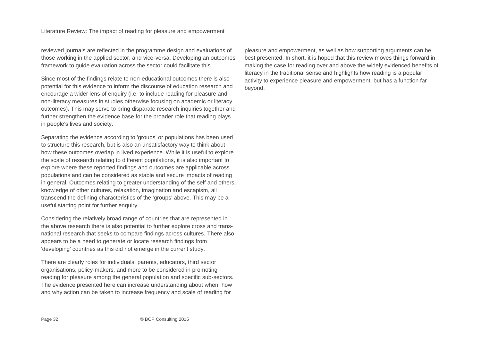reviewed journals are reflected in the programme design and evaluations of those working in the applied sector, and vice-versa. Developing an outcomes framework to guide evaluation across the sector could facilitate this.

Since most of the findings relate to non-educational outcomes there is also potential for this evidence to inform the discourse of education research and encourage a wider lens of enquiry (i.e. to include reading for pleasure and non-literacy measures in studies otherwise focusing on academic or literacy outcomes). This may serve to bring disparate research inquiries together and further strengthen the evidence base for the broader role that reading plays in people's lives and society.

Separating the evidence according to 'groups' or populations has been used to structure this research, but is also an unsatisfactory way to think about how these outcomes overlap in lived experience. While it is useful to explore the scale of research relating to different populations, it is also important to explore where these reported findings and outcomes are applicable across populations and can be considered as stable and secure impacts of reading in general. Outcomes relating to greater understanding of the self and others, knowledge of other cultures, relaxation, imagination and escapism, all transcend the defining characteristics of the 'groups' above. This may be a useful starting point for further enquiry.

Considering the relatively broad range of countries that are represented in the above research there is also potential to further explore cross and transnational research that seeks to compare findings across cultures. There also appears to be a need to generate or locate research findings from 'developing' countries as this did not emerge in the current study.

There are clearly roles for individuals, parents, educators, third sector organisations, policy-makers, and more to be considered in promoting reading for pleasure among the general population and specific sub-sectors. The evidence presented here can increase understanding about when, how and why action can be taken to increase frequency and scale of reading for

pleasure and empowerment, as well as how supporting arguments can be best presented. In short, it is hoped that this review moves things forward in making the case for reading over and above the widely evidenced benefits of literacy in the traditional sense and highlights how reading is a popular activity to experience pleasure and empowerment, but has a function far beyond.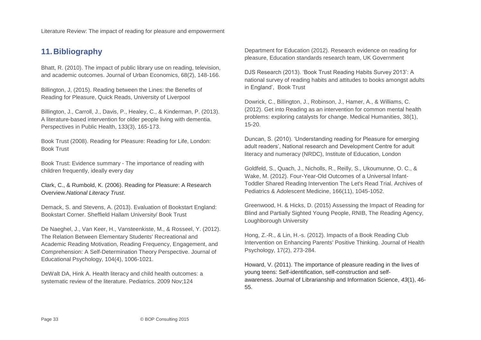# <span id="page-32-0"></span>**11.Bibliography**

Bhatt, R. (2010). The impact of public library use on reading, television, and academic outcomes. Journal of Urban Economics, 68(2), 148-166.

Billington, J, (2015). Reading between the Lines: the Benefits of Reading for Pleasure, Quick Reads, University of Liverpool

Billington, J., Carroll, J., Davis, P., Healey, C., & Kinderman, P. (2013). A literature-based intervention for older people living with dementia. Perspectives in Public Health, 133(3), 165-173.

Book Trust (2008). Reading for Pleasure: Reading for Life, London: Book Trust

Book Trust: Evidence summary - The importance of reading with children frequently, ideally every day

Clark, C., & Rumbold, K. (2006). Reading for Pleasure: A Research Overview.*National Literacy Trust*.

Demack, S. and Stevens, A. (2013). Evaluation of Bookstart England: Bookstart Corner. Sheffield Hallam University/ Book Trust

De Naeghel, J., Van Keer, H., Vansteenkiste, M., & Rosseel, Y. (2012). The Relation Between Elementary Students' Recreational and Academic Reading Motivation, Reading Frequency, Engagement, and Comprehension: A Self-Determination Theory Perspective. Journal of Educational Psychology, 104(4), 1006-1021.

DeWalt DA, Hink A. Health literacy and child health outcomes: a systematic review of the literature. Pediatrics. 2009 Nov;124

Department for Education (2012). Research evidence on reading for pleasure, Education standards research team, UK Government

DJS Research (2013). 'Book Trust Reading Habits Survey 2013': A national survey of reading habits and attitudes to books amongst adults in England', Book Trust

Dowrick, C., Billington, J., Robinson, J., Hamer, A., & Williams, C. (2012). Get into Reading as an intervention for common mental health problems: exploring catalysts for change. Medical Humanities, 38(1), 15-20.

Duncan, S. (2010). 'Understanding reading for Pleasure for emerging adult readers', National research and Development Centre for adult literacy and numeracy (NRDC), Institute of Education, London

Goldfeld, S., Quach, J., Nicholls, R., Reilly, S., Ukoumunne, O. C., & Wake, M. (2012). Four-Year-Old Outcomes of a Universal Infant-Toddler Shared Reading Intervention The Let's Read Trial. Archives of Pediatrics & Adolescent Medicine, 166(11), 1045-1052.

Greenwood, H. & Hicks, D. (2015) Assessing the Impact of Reading for Blind and Partially Sighted Young People, RNIB, The Reading Agency, Loughborough University

Hong, Z.-R., & Lin, H.-s. (2012). Impacts of a Book Reading Club Intervention on Enhancing Parents' Positive Thinking. Journal of Health Psychology, 17(2), 273-284.

Howard, V. (2011). The importance of pleasure reading in the lives of young teens: Self-identification, self-construction and selfawareness. Journal of Librarianship and Information Science, *43*(1), 46- 55.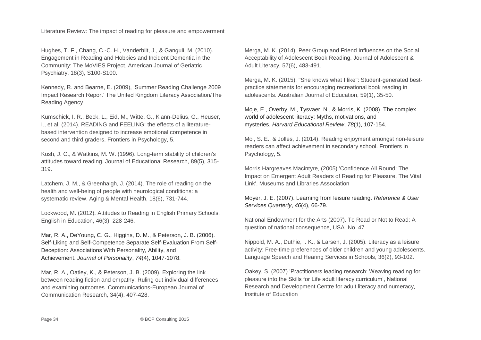Hughes, T. F., Chang, C.-C. H., Vanderbilt, J., & Ganguli, M. (2010). Engagement in Reading and Hobbies and Incident Dementia in the Community: The MoVIES Project. American Journal of Geriatric Psychiatry, 18(3), S100-S100.

Kennedy, R. and Bearne, E. (2009), 'Summer Reading Challenge 2009 Impact Research Report' The United Kingdom Literacy Association/The Reading Agency

Kumschick, I. R., Beck, L., Eid, M., Witte, G., Klann-Delius, G., Heuser, I., et al. (2014). READING and FEELING: the effects of a literaturebased intervention designed to increase emotional competence in second and third graders. Frontiers in Psychology, 5.

Kush, J. C., & Watkins, M. W. (1996). Long-term stability of children's attitudes toward reading. Journal of Educational Research, 89(5), 315- 319.

Latchem, J. M., & Greenhalgh, J. (2014). The role of reading on the health and well-being of people with neurological conditions: a systematic review. Aging & Mental Health, 18(6), 731-744.

Lockwood, M. (2012). Attitudes to Reading in English Primary Schools. English in Education, 46(3), 228-246.

Mar, R. A., DeYoung, C. G., Higgins, D. M., & Peterson, J. B. (2006). Self‐Liking and Self‐Competence Separate Self‐Evaluation From Self‐ Deception: Associations With Personality, Ability, and Achievement. *Journal of Personality*, *74*(4), 1047-1078.

Mar, R. A., Oatley, K., & Peterson, J. B. (2009). Exploring the link between reading fiction and empathy: Ruling out individual differences and examining outcomes. Communications-European Journal of Communication Research, 34(4), 407-428.

Merga, M. K. (2014). Peer Group and Friend Influences on the Social Acceptability of Adolescent Book Reading. Journal of Adolescent & Adult Literacy, 57(6), 483-491.

Merga, M. K. (2015). "She knows what I like'': Student-generated bestpractice statements for encouraging recreational book reading in adolescents. Australian Journal of Education, 59(1), 35-50.

Moje, E., Overby, M., Tysvaer, N., & Morris, K. (2008). The complex world of adolescent literacy: Myths, motivations, and mysteries. *Harvard Educational Review*, *78*(1), 107-154.

Mol, S. E., & Jolles, J. (2014). Reading enjoyment amongst non-leisure readers can affect achievement in secondary school. Frontiers in Psychology, 5.

Morris Hargreaves Macintyre, (2005) 'Confidence All Round: The Impact on Emergent Adult Readers of Reading for Pleasure, The Vital Link', Museums and Libraries Association

Moyer, J. E. (2007). Learning from leisure reading. *Reference & User Services Quarterly*, *46*(4), 66-79.

National Endowment for the Arts (2007). To Read or Not to Read: A question of national consequence, USA. No. 47

Nippold, M. A., Duthie, I. K., & Larsen, J. (2005). Literacy as a leisure activity: Free-time preferences of older children and young adolescents. Language Speech and Hearing Services in Schools, 36(2), 93-102.

Oakey, S. (2007) 'Practitioners leading research: Weaving reading for pleasure into the Skills for Life adult literacy curriculum', National Research and Development Centre for adult literacy and numeracy, Institute of Education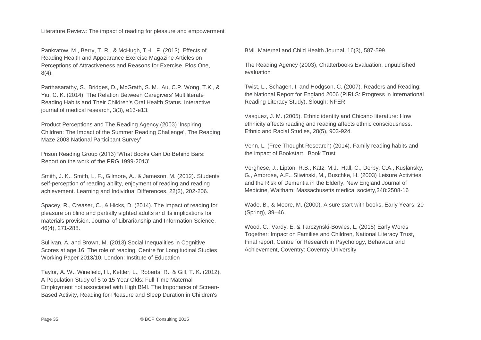Pankratow, M., Berry, T. R., & McHugh, T.-L. F. (2013). Effects of Reading Health and Appearance Exercise Magazine Articles on Perceptions of Attractiveness and Reasons for Exercise. Plos One, 8(4).

Parthasarathy, S., Bridges, D., McGrath, S. M., Au, C.P. Wong, T.K., & Yiu, C. K. (2014). The Relation Between Caregivers' Multiliterate Reading Habits and Their Children's Oral Health Status. Interactive journal of medical research, 3(3), e13-e13.

Product Perceptions and The Reading Agency (2003) 'Inspiring Children: The Impact of the Summer Reading Challenge', The Reading Maze 2003 National Participant Survey'

Prison Reading Group (2013) 'What Books Can Do Behind Bars: Report on the work of the PRG 1999-2013'

Smith, J. K., Smith, L. F., Gilmore, A., & Jameson, M. (2012). Students' self-perception of reading ability, enjoyment of reading and reading achievement. Learning and Individual Differences, 22(2), 202-206.

Spacey, R., Creaser, C., & Hicks, D. (2014). The impact of reading for pleasure on blind and partially sighted adults and its implications for materials provision. Journal of Librarianship and Information Science, 46(4), 271-288.

Sullivan, A. and Brown, M. (2013) Social Inequalities in Cognitive Scores at age 16: The role of reading, Centre for Longitudinal Studies Working Paper 2013/10, London: Institute of Education

Taylor, A. W., Winefield, H., Kettler, L., Roberts, R., & Gill, T. K. (2012). A Population Study of 5 to 15 Year Olds: Full Time Maternal Employment not associated with High BMI. The Importance of Screen-Based Activity, Reading for Pleasure and Sleep Duration in Children's

BMI. Maternal and Child Health Journal, 16(3), 587-599.

The Reading Agency (2003), Chatterbooks Evaluation, unpublished evaluation

Twist, L., Schagen, I. and Hodgson, C. (2007). Readers and Reading: the National Report for England 2006 (PIRLS: Progress in International Reading Literacy Study). Slough: NFER

Vasquez, J. M. (2005). Ethnic identity and Chicano literature: How ethnicity affects reading and reading affects ethnic consciousness. Ethnic and Racial Studies, 28(5), 903-924.

Venn, L. (Free Thought Research) (2014). Family reading habits and the impact of Bookstart, Book Trust

Verghese, J., Lipton, R.B., Katz, M.J., Hall, C., Derby, C.A., Kuslansky, G., Ambrose, A.F., Sliwinski, M., Buschke, H. (2003) Leisure Activities and the Risk of Dementia in the Elderly, New England Journal of Medicine, Waltham: Massachusetts medical society,348:2508-16

Wade, B., & Moore, M. (2000). A sure start with books. Early Years, 20 (Spring), 39–46.

Wood, C., Vardy, E. & Tarczynski-Bowles, L. (2015) Early Words Together: Impact on Families and Children, National Literacy Trust, Final report, Centre for Research in Psychology, Behaviour and Achievement, Coventry: Coventry University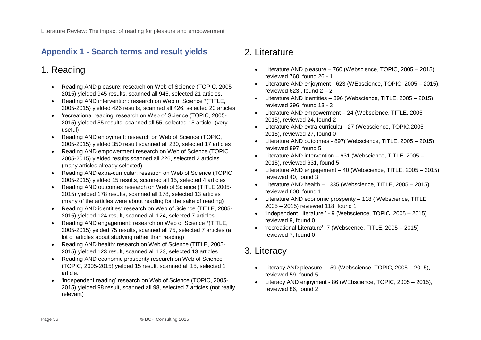# <span id="page-35-0"></span>**Appendix 1 - Search terms and result yields**

# 1. Reading

- Reading AND pleasure: research on Web of Science (TOPIC, 2005- 2015) yielded 945 results, scanned all 945, selected 21 articles.
- Reading AND intervention: research on Web of Science \*(TITLE, 2005-2015) yielded 426 results, scanned all 426, selected 20 articles
- 'recreational reading' research on Web of Science (TOPIC, 2005- 2015) yielded 55 results, scanned all 55, selected 15 article. (very useful)
- Reading AND enjoyment: research on Web of Science (TOPIC, 2005-2015) yielded 350 result scanned all 230, selected 17 articles
- Reading AND empowerment research on Web of Science (TOPIC 2005-2015) yielded results scanned all 226, selected 2 articles (many articles already selected).
- Reading AND extra-curricular: research on Web of Science (TOPIC 2005-2015) yielded 15 results, scanned all 15, selected 4 articles
- Reading AND outcomes research on Web of Science (TITLE 2005- 2015) yielded 178 results, scanned all 178, selected 13 articles (many of the articles were about reading for the sake of reading)
- Reading AND identities: research on Web of Science (TITLE, 2005- 2015) yielded 124 result, scanned all 124, selected 7 articles.
- Reading AND engagement: research on Web of Science \*(TITLE, 2005-2015) yelded 75 results, scanned all 75, selected 7 articles (a lot of articles about studying rather than reading)
- Reading AND health: research on Web of Science (TITLE, 2005- 2015) yielded 123 result, scanned all 123, selected 13 articles.
- Reading AND economic prosperity research on Web of Science (TOPIC, 2005-2015) yielded 15 result, scanned all 15, selected 1 article.
- 'independent reading' research on Web of Science (TOPIC, 2005- 2015) yielded 98 result, scanned all 98, selected 7 articles (not really relevant)

# 2. Literature

- Literature AND pleasure 760 (Webscience, TOPIC, 2005 2015), reviewed 760, found 26 - 1
- Literature AND enjoyment 623 (WEbscience, TOPIC, 2005 2015), reviewed 623, found  $2 - 2$
- Literature AND identities 396 (Webscience, TITLE, 2005 2015), reviewed 396, found 13 - 3
- Literature AND empowerment 24 (Webscience, TITLE, 2005- 2015), reviewed 24, found 2
- Literature AND extra-curricular 27 (Webscience, TOPIC.2005- 2015), reviewed 27, found 0
- Literature AND outcomes 897( Webscience, TITLE, 2005 2015), reviewed 897, found 5
- Literature AND intervention 631 (Webscience, TITLE, 2005 2015), reviewed 631, found 5
- Literature AND engagement 40 (Webscience, TITLE, 2005 2015) reviewed 40, found 3
- Literature AND health 1335 (Webscience, TITLE, 2005 2015) reviewed 600, found 1
- Literature AND economic prosperity 118 ( Webscience, TITLE 2005 – 2015) reviewed 118, found 1
- 'independent Literature ' 9 (Webscience, TOPIC, 2005 2015) reviewed 9, found 0
- 'recreational Literature'- 7 (Webscence, TITLE, 2005 2015) reviewed 7, found 0

# 3. Literacy

- Literacy AND pleasure  $-59$  (Webscience, TOPIC, 2005  $-2015$ ), reviewed 59, found 5
- Literacy AND enjoyment 86 (WEbscience, TOPIC, 2005 2015), reviewed 86, found 2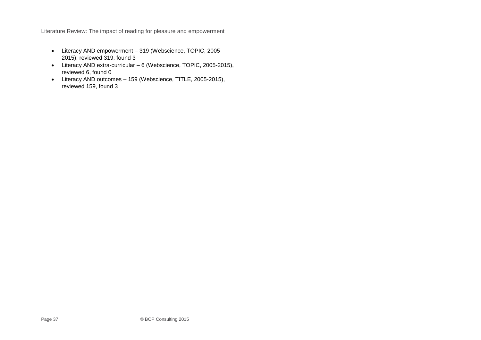- Literacy AND empowerment 319 (Webscience, TOPIC, 2005 2015), reviewed 319, found 3
- Literacy AND extra-curricular 6 (Webscience, TOPIC, 2005-2015), reviewed 6, found 0
- Literacy AND outcomes 159 (Webscience, TITLE, 2005-2015), reviewed 159, found 3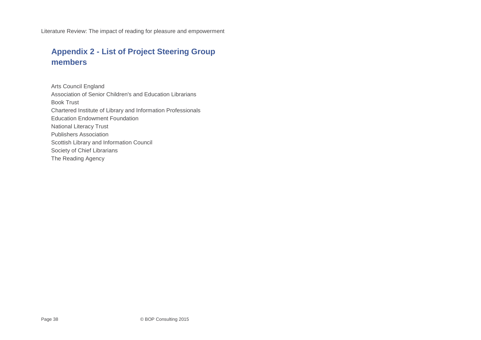# <span id="page-37-0"></span>**Appendix 2 - List of Project Steering Group members**

Arts Council England Association of Senior Children's and Education Librarians Book Trust Chartered Institute of Library and Information Professionals Education Endowment Foundation National Literacy Trust Publishers Association Scottish Library and Information Council Society of Chief Librarians The Reading Agency